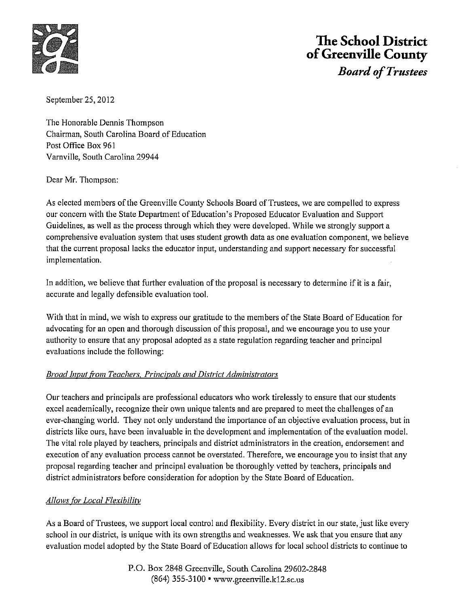

## **The School District ofGreenville County**

*Board ofTrustees* 

September 25, 2012

The Honorable Dennis Thompson Chairman, South Carolina Board of Education Post Office Box 961 Varnville, South Carolina 29944

Dear Mr. Thompson:

As elected members ofthe Greenville County Schools Board of Trustees, we are compelled to express our concern with the State Department of Education's Proposed Educator Evaluation and Support Guidelines, as well as the process through which they were developed. While we strongly support a comprehensive evaluation system that uses student growth data as one evaluation component, we believe that the current proposal lacks the educator input, understanding and support necessary for successful implementation.

In addition, we believe that further evaluation of the proposal is necessary to determine if it is a fair, accurate and legally defensible evaluation tool.

With that in mind, we wish to express our gratitude to the members of the State Board of Education for advocating for an open and thorough discussion ofthis proposal, and we encourage you to use your authority to ensure that any proposal adopted as a state regulation regarding teacher and principal evaluations include the following:

## **Broad Input from Teachers, Principals and District Administrators**

Our teachers and principals are professional educators who work tirelessly to ensure that our students excel academically, recognize their own unique talents and are prepared to meet the challenges of an ever-changing world. They not only understand the importance of an objective evaluation process, but in districts like ours, have been invaluable in the development and implementation ofthe evaluation model. The vital role played by teachers, principals and district administrators in the creation, endorsement and execution of any evaluation process cannot be overstated. Therefore, we encourage you to insist that any proposal regarding teacher and principal evaluation be thoroughly vetted by teachers, principals and district administrators before consideration for adoption by the State Board of Education.

## *Allows for Local F/exibilitv*

As a Board of Trustees, we support local control and flexibility. Every district in our state, just like every school in our district, is unique with its own strengths and weaknesses. We ask that you ensure that any evaluation model adopted by the State Board of Education allows for local school districts to continue to

> P.O. Box 2848 Greenville, South Carolina 29602-2848 (864) 355-3100 •<www.greenville.k12.sc.us>